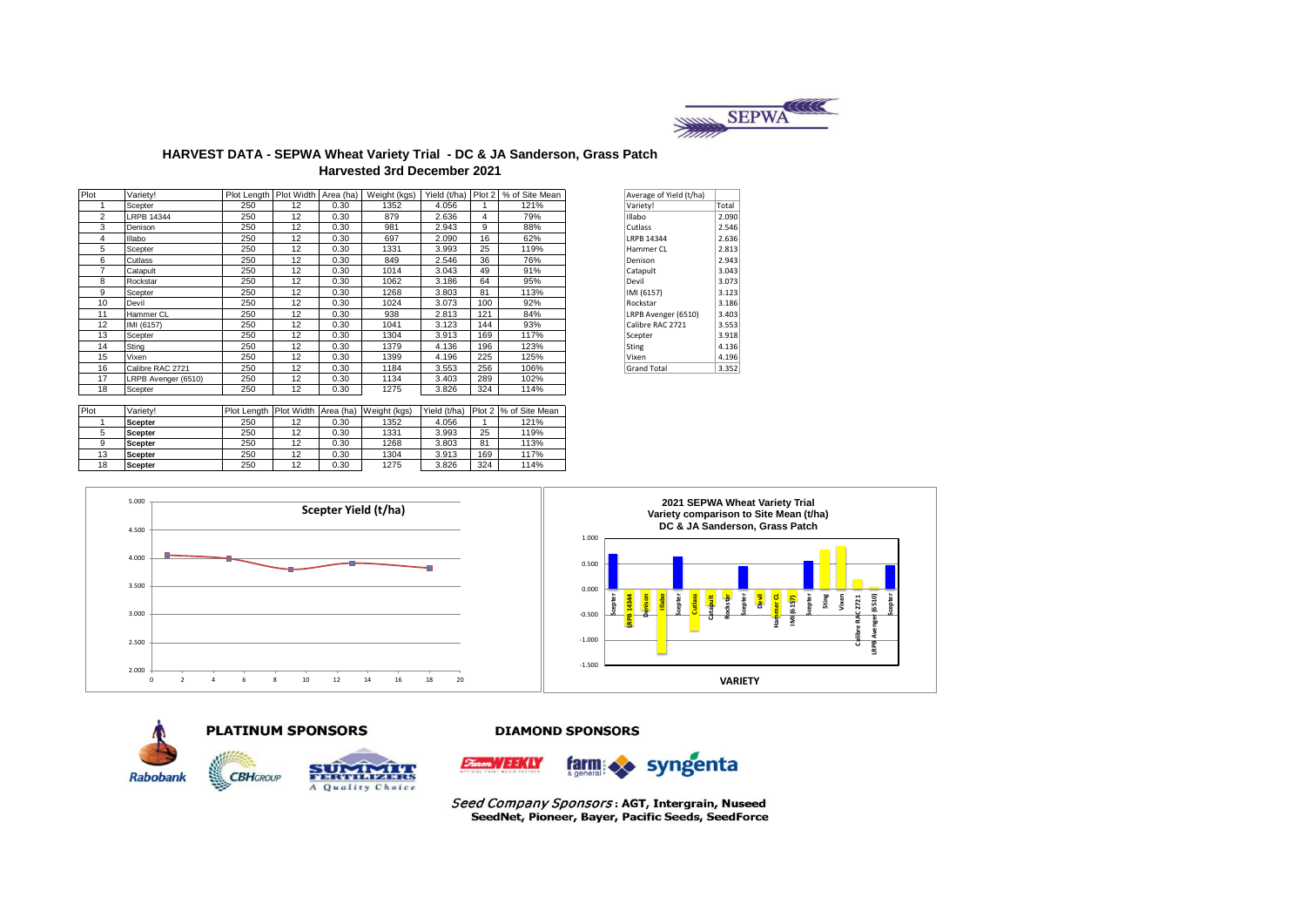

## HARVEST DATA - SEPWA Wheat Variety Trial - DC & JA Sanderson, Grass Patch **Harvested 3rd December 2021**

| Plot            | Variety!            | Plot Length   Plot Width   Area (ha) |    |      | Weight (kgs)                                        | Yield (t/ha) Plot 2 |     | % of Site Mean                     |
|-----------------|---------------------|--------------------------------------|----|------|-----------------------------------------------------|---------------------|-----|------------------------------------|
|                 | Scepter             | 250                                  | 12 | 0.30 | 1352                                                | 4.056               | 1   | 121%                               |
| $\overline{2}$  | <b>LRPB 14344</b>   | 250                                  | 12 | 0.30 | 879                                                 | 2.636               | 4   | 79%                                |
| 3               | Denison             | 250                                  | 12 | 0.30 | 981                                                 | 2.943               | 9   | 88%                                |
| 4               | <b>Illabo</b>       | 250                                  | 12 | 0.30 | 697                                                 | 2.090               | 16  | 62%                                |
| 5               | Scepter             | 250                                  | 12 | 0.30 | 1331                                                | 3.993               | 25  | 119%                               |
| 6               | Cutlass             | 250                                  | 12 | 0.30 | 849                                                 | 2.546               | 36  | 76%                                |
| 7               | Catapult            | 250                                  | 12 | 0.30 | 1014                                                | 3.043               | 49  | 91%                                |
| 8               | Rockstar            | 250                                  | 12 | 0.30 | 1062                                                | 3.186               | 64  | 95%                                |
| 9               | Scepter             | 250                                  | 12 | 0.30 | 1268                                                | 3.803               | 81  | 113%                               |
| 10              | Devil               | 250                                  | 12 | 0.30 | 1024                                                | 3.073               | 100 | 92%                                |
| 11              | Hammer CL           | 250                                  | 12 | 0.30 | 938                                                 | 2.813               | 121 | 84%                                |
| 12              | IMI (6157)          | 250                                  | 12 | 0.30 | 1041                                                | 3.123               | 144 | 93%                                |
| 13              | Scepter             | 250                                  | 12 | 0.30 | 1304                                                | 3.913               | 169 | 117%                               |
| 14              | Sting               | 250                                  | 12 | 0.30 | 1379                                                | 4.136               | 196 | 123%                               |
| 15              | Vixen               | 250                                  | 12 | 0.30 | 1399                                                | 4.196               | 225 | 125%                               |
| 16              | Calibre RAC 2721    | 250                                  | 12 | 0.30 | 1184                                                | 3.553               | 256 | 106%                               |
| 17              | LRPB Avenger (6510) | 250                                  | 12 | 0.30 | 1134                                                | 3.403               | 289 | 102%                               |
| 18              | Scepter             | 250                                  | 12 | 0.30 | 1275                                                | 3.826               | 324 | 114%                               |
|                 |                     |                                      |    |      |                                                     |                     |     |                                    |
| Pl <sub>o</sub> | Varietyl            |                                      |    |      | Plot Length   Plot Width   Area (ha)   Weight (kgs) |                     |     | Vield (t/ha) Plot 2 % of Site Mean |

| <b>Plot</b> | Variety!       |     |    |      | IPlot Length IPlot Width IArea (ha) IWeight (kgs) | Yield (t/ha) |     | Plot 2 I% of Site Mean |
|-------------|----------------|-----|----|------|---------------------------------------------------|--------------|-----|------------------------|
|             | <b>Scepter</b> | 250 | 12 | 0.30 | 1352                                              | 4.056        |     | 121%                   |
|             | <b>Scepter</b> | 250 | 12 | 0.30 | 1331                                              | 3.993        | 25  | 119%                   |
|             | <b>Scepter</b> | 250 | 12 | 0.30 | 1268                                              | 3.803        | 81  | 113%                   |
| 13          | <b>Scepter</b> | 250 | 12 | 0.30 | 1304                                              | 3.913        | 169 | 117%                   |
| 18          | <b>Scepter</b> | 250 | 12 | 0.30 | 1275                                              | 3.826        | 324 | 114%                   |

| Average of Yield (t/ha) |       |
|-------------------------|-------|
| Variety!                | Total |
| Illabo                  | 2.090 |
| Cutlass                 | 2.546 |
| LRPB 14344              | 2.636 |
| Hammer CL               | 2.813 |
| Denison                 | 2.943 |
| Catapult                | 3.043 |
| Devil                   | 3.073 |
| IMI (6157)              | 3.123 |
| Rockstar                | 3.186 |
| LRPB Avenger (6510)     | 3.403 |
| Calibre RAC 2721        | 3.553 |
| Scepter                 | 3.918 |
| <b>Sting</b>            | 4.136 |
| Vixen                   | 4.196 |
| <b>Grand Total</b>      | 3.352 |





**PLATINUM SPONSORS** 

#### **DIAMOND SPONSORS**





 $\mathcal{F}_{\alpha\beta\gamma\gamma}$   $\left| \begin{array}{c} 1 & 1 \end{array} \right|$ **farm:** 

syngenta

Seed Company Sponsors: AGT, Intergrain, Nuseed SeedNet, Pioneer, Bayer, Pacific Seeds, SeedForce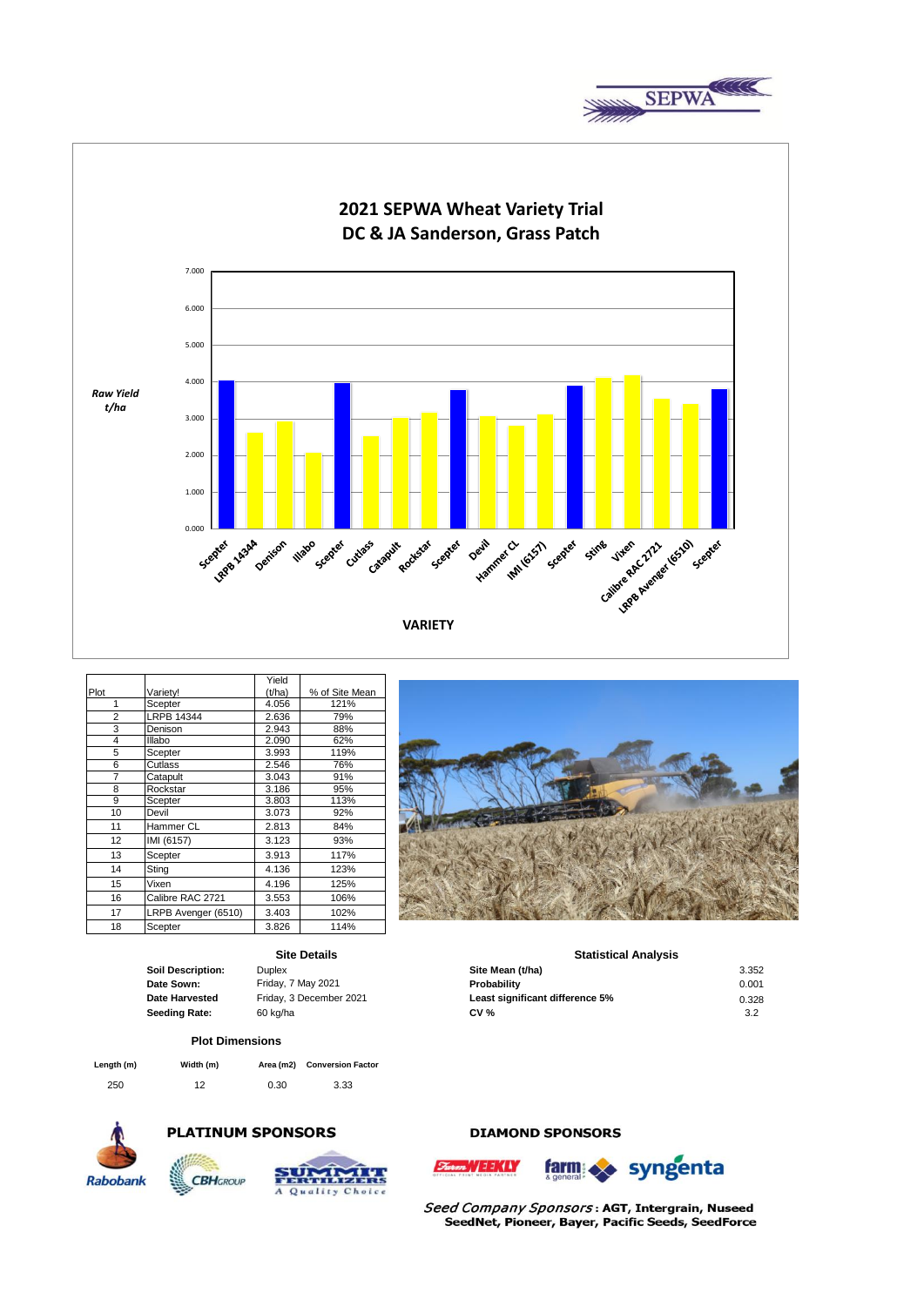



|                |                     | Yield  |                |
|----------------|---------------------|--------|----------------|
| Plot           | Variety!            | (t/ha) | % of Site Mean |
| 1              | Scepter             | 4.056  | 121%           |
| $\overline{2}$ | <b>LRPB 14344</b>   | 2.636  | 79%            |
| 3              | Denison             | 2.943  | 88%            |
| 4              | Illabo              | 2.090  | 62%            |
| 5              | Scepter             | 3.993  | 119%           |
| 6              | Cutlass             | 2.546  | 76%            |
| 7              | Catapult            | 3.043  | 91%            |
| 8              | Rockstar            | 3.186  | 95%            |
| 9              | Scepter             | 3.803  | 113%           |
| 10             | Devil               | 3.073  | 92%            |
| 11             | Hammer CL           | 2.813  | 84%            |
| 12             | IMI (6157)          | 3.123  | 93%            |
| 13             | Scepter             | 3.913  | 117%           |
| 14             | Sting               | 4.136  | 123%           |
| 15             | Vixen               | 4.196  | 125%           |
| 16             | Calibre RAC 2721    | 3.553  | 106%           |
| 17             | LRPB Avenger (6510) | 3.403  | 102%           |
| 18             | Scepter             | 3.826  | 114%           |

#### **Site Details**

#### **Plot Dimensions**

| Length (m) | Width (m) |      | Area (m2) Conversion |
|------------|-----------|------|----------------------|
| 250        | 12        | 0.30 | 3.33                 |



# **PLATINUM SPONSORS**





**Conversion Factor**

# **DIAMOND SPONSORS**





Seed Company Sponsors: AGT, Intergrain, Nuseed SeedNet, Pioneer, Bayer, Pacific Seeds, SeedForce

# **Statistical Analysis**

| <b>SILE DELAIS</b>      |                                 |                       |
|-------------------------|---------------------------------|-----------------------|
| <b>Duplex</b>           | Site Mean (t/ha)                | 3.352                 |
| Friday, 7 May 2021      | Probability                     | 0.001                 |
| Friday, 3 December 2021 | Least significant difference 5% | 0.328                 |
| 60 kg/ha                | <b>CV %</b>                     | 3.2                   |
|                         |                                 | Statistical Affaiysis |